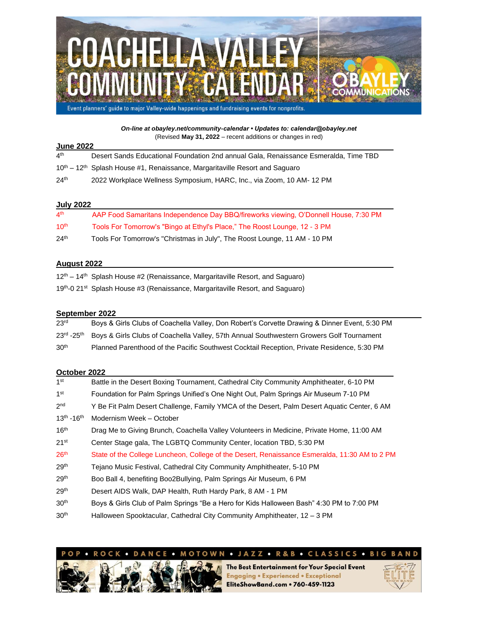

*On-line at obayley.net/community-calendar • Updates to: calendar@obayley.net* (Revised **May 31, 2022** – recent additions or changes in red)

| <b>June 2022</b> |                                                                                                     |  |  |
|------------------|-----------------------------------------------------------------------------------------------------|--|--|
| 4 <sup>th</sup>  | Desert Sands Educational Foundation 2nd annual Gala, Renaissance Esmeralda, Time TBD                |  |  |
|                  | 10 <sup>th</sup> – 12 <sup>th</sup> Splash House #1, Renaissance, Margaritaville Resort and Saguaro |  |  |
| 24 <sup>th</sup> | 2022 Workplace Wellness Symposium, HARC, Inc., via Zoom, 10 AM- 12 PM                               |  |  |

#### **July 2022**

| 4 <sup>th</sup>  | AAP Food Samaritans Independence Day BBQ/fireworks viewing, O'Donnell House, 7:30 PM |
|------------------|--------------------------------------------------------------------------------------|
| 10 <sup>th</sup> | Tools For Tomorrow's "Bingo at Ethyl's Place," The Roost Lounge, 12 - 3 PM           |
| 24 <sup>th</sup> | Tools For Tomorrow's "Christmas in July", The Roost Lounge, 11 AM - 10 PM            |

#### **August 2022**

| 12 <sup>th</sup> – 14 <sup>th</sup> Splash House #2 (Renaissance, Margaritaville Resort, and Saguaro) |  |  |
|-------------------------------------------------------------------------------------------------------|--|--|
| 19th-0 21st Splash House #3 (Renaissance, Margaritaville Resort, and Saguaro)                         |  |  |

### **September 2022**

| 23 <sup>rd</sup> | Boys & Girls Clubs of Coachella Valley, Don Robert's Corvette Drawing & Dinner Event, 5:30 PM                               |
|------------------|-----------------------------------------------------------------------------------------------------------------------------|
|                  | 23 <sup>rd</sup> -25 <sup>th</sup> Boys & Girls Clubs of Coachella Valley, 57th Annual Southwestern Growers Golf Tournament |
| 30 <sup>th</sup> | Planned Parenthood of the Pacific Southwest Cocktail Reception, Private Residence, 5:30 PM                                  |

# **October 2022**

| 1 <sup>st</sup>     | Battle in the Desert Boxing Tournament, Cathedral City Community Amphitheater, 6-10 PM        |
|---------------------|-----------------------------------------------------------------------------------------------|
| 1 <sup>st</sup>     | Foundation for Palm Springs Unified's One Night Out, Palm Springs Air Museum 7-10 PM          |
| 2 <sup>nd</sup>     | Y Be Fit Palm Desert Challenge, Family YMCA of the Desert, Palm Desert Aquatic Center, 6 AM   |
| $13^{th} - 16^{th}$ | Modernism Week - October                                                                      |
| 16 <sup>th</sup>    | Drag Me to Giving Brunch, Coachella Valley Volunteers in Medicine, Private Home, 11:00 AM     |
| 21 <sup>st</sup>    | Center Stage gala, The LGBTQ Community Center, location TBD, 5:30 PM                          |
| 26 <sup>th</sup>    | State of the College Luncheon, College of the Desert, Renaissance Esmeralda, 11:30 AM to 2 PM |
| 29 <sup>th</sup>    | Tejano Music Festival, Cathedral City Community Amphitheater, 5-10 PM                         |
| 29 <sup>th</sup>    | Boo Ball 4, benefiting Boo2Bullying, Palm Springs Air Museum, 6 PM                            |
| 29 <sup>th</sup>    | Desert AIDS Walk, DAP Health, Ruth Hardy Park, 8 AM - 1 PM                                    |
| 30 <sup>th</sup>    | Boys & Girls Club of Palm Springs "Be a Hero for Kids Halloween Bash" 4:30 PM to 7:00 PM      |
| $\sim$ $\sim$ th    |                                                                                               |





The Best Entertainment for Your Special Event **Engaging . Experienced . Exceptional** EliteShowBand.com • 760-459-1123

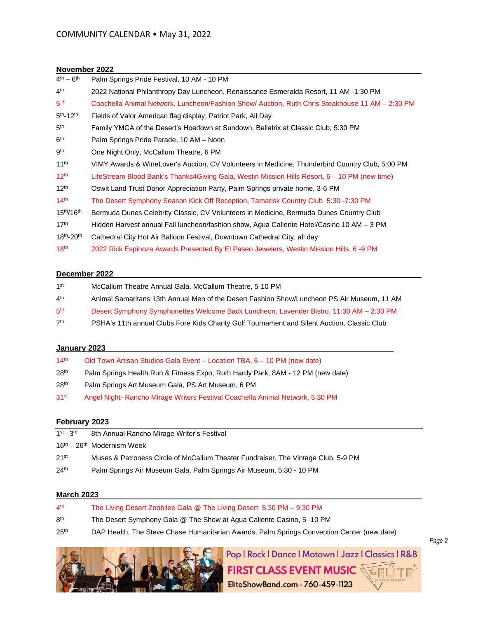### **November 2022**

| $4th - 6th$         | Palm Springs Pride Festival, 10 AM - 10 PM                                                      |
|---------------------|-------------------------------------------------------------------------------------------------|
| 4 <sup>th</sup>     | 2022 National Philanthropy Day Luncheon, Renaissance Esmeralda Resort, 11 AM -1:30 PM           |
| 5 <sup>th</sup>     | Coachella Animal Network, Luncheon/Fashion Show/ Auction, Ruth Chris Steakhouse 11 AM – 2:30 PM |
| $5th - 12th$        | Fields of Valor American flag display, Patriot Park, All Day                                    |
| 5 <sup>th</sup>     | Family YMCA of the Desert's Hoedown at Sundown, Bellatrix at Classic Club; 5:30 PM              |
| 6 <sup>th</sup>     | Palm Springs Pride Parade, 10 AM - Noon                                                         |
| gth                 | One Night Only, McCallum Theatre, 6 PM                                                          |
| 11 <sup>th</sup>    | VIMY Awards & WineLover's Auction, CV Volunteers in Medicine, Thunderbird Country Club, 5:00 PM |
| $12^{th}$           | LifeStream Blood Bank's Thanks4Giving Gala, Westin Mission Hills Resort, 6 – 10 PM (new time)   |
| 12 <sup>th</sup>    | Oswit Land Trust Donor Appreciation Party, Palm Springs private home, 3-6 PM                    |
| 14 <sup>th</sup>    | The Desert Symphony Season Kick Off Reception, Tamarisk Country Club 5:30 -7:30 PM              |
| $15^{th}/16^{th}$   | Bermuda Dunes Celebrity Classic, CV Volunteers in Medicine, Bermuda Dunes Country Club          |
| 17 <sup>th</sup>    | Hidden Harvest annual Fall luncheon/fashion show, Agua Caliente Hotel/Casino 10 AM - 3 PM       |
| $18^{th} - 20^{th}$ | Cathedral City Hot Air Balloon Festival, Downtown Cathedral City, all day                       |
| 18 <sup>th</sup>    | 2022 Rick Espinoza Awards Presented By El Paseo Jewelers, Westin Mission Hills, 6 -9 PM         |

#### **December 2022**

| 1 <sup>st</sup> | McCallum Theatre Annual Gala, McCallum Theatre, 5-10 PM                                     |
|-----------------|---------------------------------------------------------------------------------------------|
| 4 <sup>th</sup> | Animal Samaritans 13th Annual Men of the Desert Fashion Show/Luncheon PS Air Museum, 11 AM  |
| 5 <sup>th</sup> | Desert Symphony Symphonettes Welcome Back Luncheon, Lavender Bistro, 11:30 AM - 2:30 PM     |
| 7 <sup>th</sup> | PSHA's 11th annual Clubs Fore Kids Charity Golf Tournament and Silent Auction, Classic Club |

# **January 2023**

| 14 <sup>th</sup> | Old Town Artisan Studios Gala Event - Location TBA, 6 - 10 PM (new date)        |
|------------------|---------------------------------------------------------------------------------|
| 28 <sup>th</sup> | Palm Springs Health Run & Fitness Expo, Ruth Hardy Park, 8AM - 12 PM (new date) |
| 28 <sup>th</sup> | Palm Springs Art Museum Gala, PS Art Museum, 6 PM                               |
| 31 <sup>st</sup> | Angel Night- Rancho Mirage Writers Festival Coachella Animal Network, 5:30 PM   |

## **February 2023**

| $1st - 3rd$<br>8th Annual Rancho Mirage Writer's Festival                                             |  |
|-------------------------------------------------------------------------------------------------------|--|
| $16th - 26th$ Modernism Week                                                                          |  |
| 21 <sup>st</sup><br>Muses & Patroness Circle of McCallum Theater Fundraiser, The Vintage Club, 5-9 PM |  |
| 24 <sup>th</sup><br>Palm Springs Air Museum Gala, Palm Springs Air Museum, 5:30 - 10 PM               |  |

# **March 2023**

| 4 <sup>th</sup>  | The Living Desert Zoobilee Gala @ The Living Desert 5:30 PM – 9:30 PM                      |
|------------------|--------------------------------------------------------------------------------------------|
| 8 <sup>th</sup>  | The Desert Symphony Gala @ The Show at Agua Caliente Casino, 5 -10 PM                      |
| 25 <sup>th</sup> | DAP Health, The Steve Chase Humanitarian Awards, Palm Springs Convention Center (new date) |

*Page 2*



Pop | Rock | Dance | Motown | Jazz | Classics | R&B FIRST CLASS EVENT MUSIC WE LITE

EliteShowBand.com - 760-459-1123